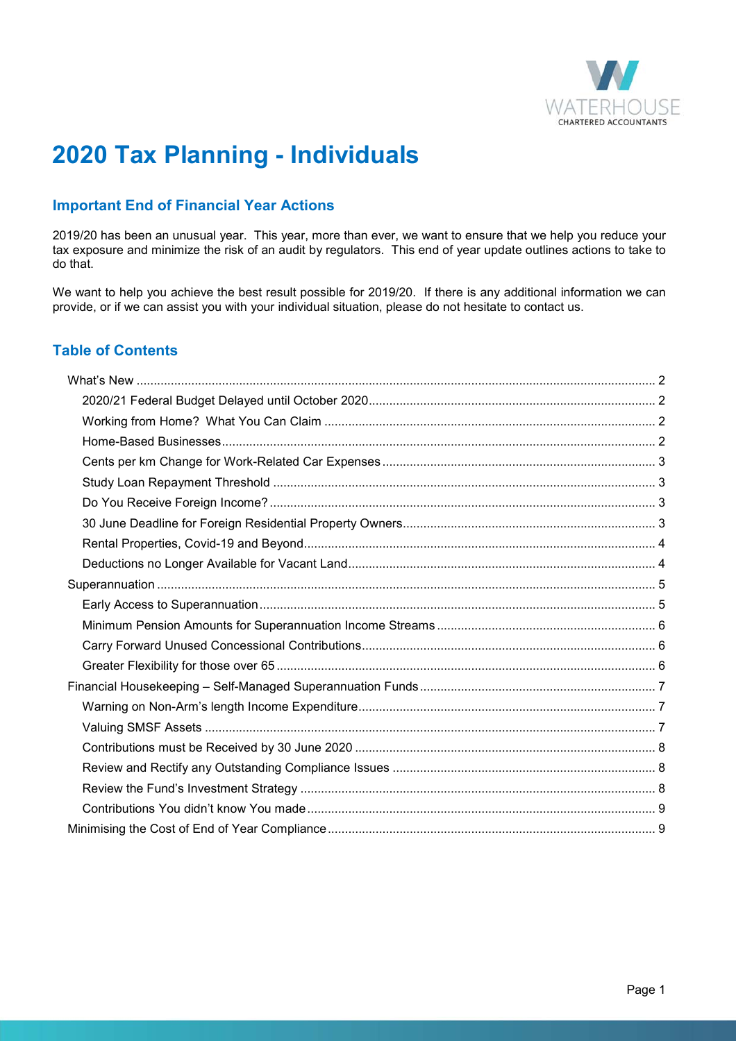

# **2020 Tax Planning - Individuals**

# **Important End of Financial Year Actions**

2019/20 has been an unusual year. This year, more than ever, we want to ensure that we help you reduce your tax exposure and minimize the risk of an audit by regulators. This end of year update outlines actions to take to do that.

We want to help you achieve the best result possible for 2019/20. If there is any additional information we can provide, or if we can assist you with your individual situation, please do not hesitate to contact us.

# **Table of Contents**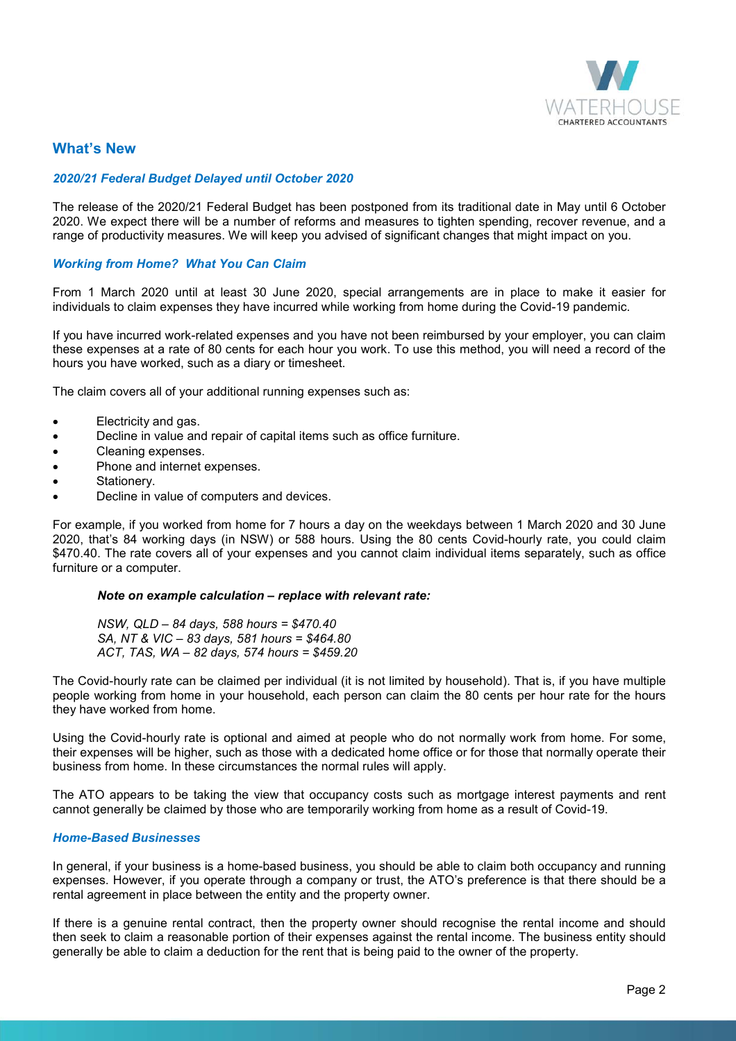

# **What's New**

#### *2020/21 Federal Budget Delayed until October 2020*

The release of the 2020/21 Federal Budget has been postponed from its traditional date in May until 6 October 2020. We expect there will be a number of reforms and measures to tighten spending, recover revenue, and a range of productivity measures. We will keep you advised of significant changes that might impact on you.

## *Working from Home? What You Can Claim*

From 1 March 2020 until at least 30 June 2020, special arrangements are in place to make it easier for individuals to claim expenses they have incurred while working from home during the Covid-19 pandemic.

If you have incurred work-related expenses and you have not been reimbursed by your employer, you can claim these expenses at a rate of 80 cents for each hour you work. To use this method, you will need a record of the hours you have worked, such as a diary or timesheet.

The claim covers all of your additional running expenses such as:

- Electricity and gas.
- Decline in value and repair of capital items such as office furniture.
- Cleaning expenses.
- Phone and internet expenses.
- Stationery.
- Decline in value of computers and devices.

For example, if you worked from home for 7 hours a day on the weekdays between 1 March 2020 and 30 June 2020, that's 84 working days (in NSW) or 588 hours. Using the 80 cents Covid-hourly rate, you could claim \$470.40. The rate covers all of your expenses and you cannot claim individual items separately, such as office furniture or a computer.

#### *Note on example calculation – replace with relevant rate:*

*NSW, QLD – 84 days, 588 hours = \$470.40 SA, NT & VIC – 83 days, 581 hours = \$464.80 ACT, TAS, WA – 82 days, 574 hours = \$459.20* 

The Covid-hourly rate can be claimed per individual (it is not limited by household). That is, if you have multiple people working from home in your household, each person can claim the 80 cents per hour rate for the hours they have worked from home.

Using the Covid-hourly rate is optional and aimed at people who do not normally work from home. For some, their expenses will be higher, such as those with a dedicated home office or for those that normally operate their business from home. In these circumstances the normal rules will apply.

The ATO appears to be taking the view that occupancy costs such as mortgage interest payments and rent cannot generally be claimed by those who are temporarily working from home as a result of Covid-19.

## *Home-Based Businesses*

In general, if your business is a home-based business, you should be able to claim both occupancy and running expenses. However, if you operate through a company or trust, the ATO's preference is that there should be a rental agreement in place between the entity and the property owner.

If there is a genuine rental contract, then the property owner should recognise the rental income and should then seek to claim a reasonable portion of their expenses against the rental income. The business entity should generally be able to claim a deduction for the rent that is being paid to the owner of the property.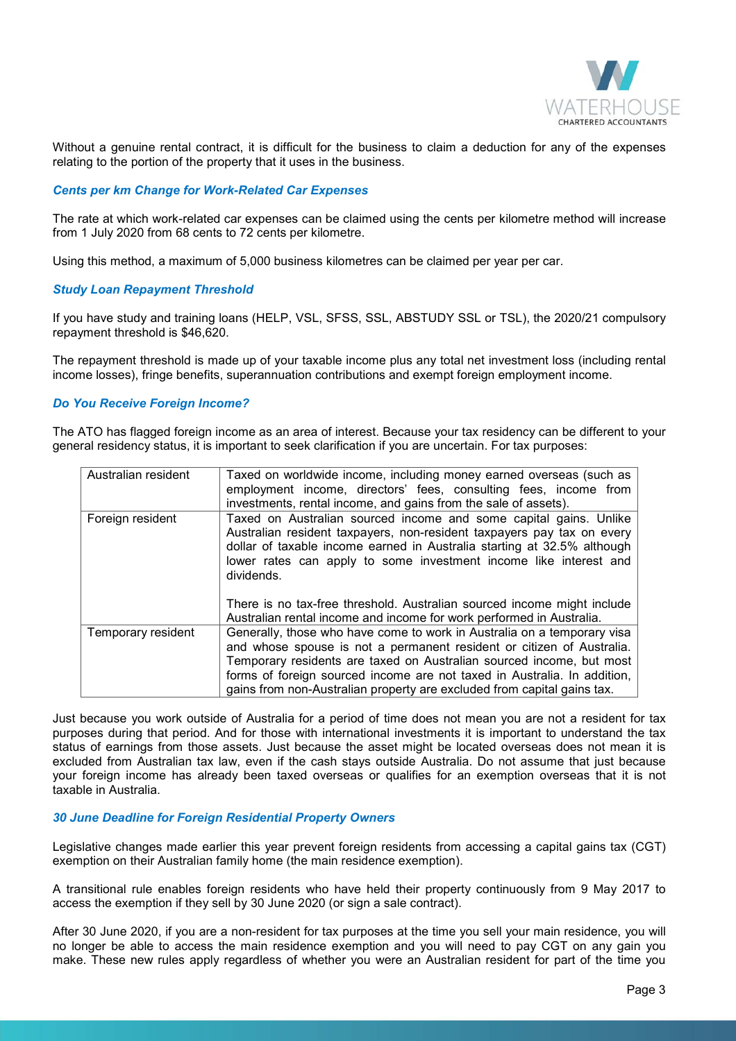

Without a genuine rental contract, it is difficult for the business to claim a deduction for any of the expenses relating to the portion of the property that it uses in the business.

#### *Cents per km Change for Work-Related Car Expenses*

The rate at which work-related car expenses can be claimed using the cents per kilometre method will increase from 1 July 2020 from 68 cents to 72 cents per kilometre.

Using this method, a maximum of 5,000 business kilometres can be claimed per year per car.

## *Study Loan Repayment Threshold*

If you have study and training loans (HELP, VSL, SFSS, SSL, ABSTUDY SSL or TSL), the 2020/21 compulsory repayment threshold is \$46,620.

The repayment threshold is made up of your taxable income plus any total net investment loss (including rental income losses), fringe benefits, superannuation contributions and exempt foreign employment income.

## *Do You Receive Foreign Income?*

The ATO has flagged foreign income as an area of interest. Because your tax residency can be different to your general residency status, it is important to seek clarification if you are uncertain. For tax purposes:

| Australian resident | Taxed on worldwide income, including money earned overseas (such as<br>employment income, directors' fees, consulting fees, income from<br>investments, rental income, and gains from the sale of assets).                                                                                                                                                                      |
|---------------------|---------------------------------------------------------------------------------------------------------------------------------------------------------------------------------------------------------------------------------------------------------------------------------------------------------------------------------------------------------------------------------|
| Foreign resident    | Taxed on Australian sourced income and some capital gains. Unlike<br>Australian resident taxpayers, non-resident taxpayers pay tax on every<br>dollar of taxable income earned in Australia starting at 32.5% although<br>lower rates can apply to some investment income like interest and<br>dividends.                                                                       |
|                     | There is no tax-free threshold. Australian sourced income might include<br>Australian rental income and income for work performed in Australia.                                                                                                                                                                                                                                 |
| Temporary resident  | Generally, those who have come to work in Australia on a temporary visa<br>and whose spouse is not a permanent resident or citizen of Australia.<br>Temporary residents are taxed on Australian sourced income, but most<br>forms of foreign sourced income are not taxed in Australia. In addition,<br>gains from non-Australian property are excluded from capital gains tax. |

Just because you work outside of Australia for a period of time does not mean you are not a resident for tax purposes during that period. And for those with international investments it is important to understand the tax status of earnings from those assets. Just because the asset might be located overseas does not mean it is excluded from Australian tax law, even if the cash stays outside Australia. Do not assume that just because your foreign income has already been taxed overseas or qualifies for an exemption overseas that it is not taxable in Australia.

#### *30 June Deadline for Foreign Residential Property Owners*

Legislative changes made earlier this year prevent foreign residents from accessing a capital gains tax (CGT) exemption on their Australian family home (the main residence exemption).

A transitional rule enables foreign residents who have held their property continuously from 9 May 2017 to access the exemption if they sell by 30 June 2020 (or sign a sale contract).

After 30 June 2020, if you are a non-resident for tax purposes at the time you sell your main residence, you will no longer be able to access the main residence exemption and you will need to pay CGT on any gain you make. These new rules apply regardless of whether you were an Australian resident for part of the time you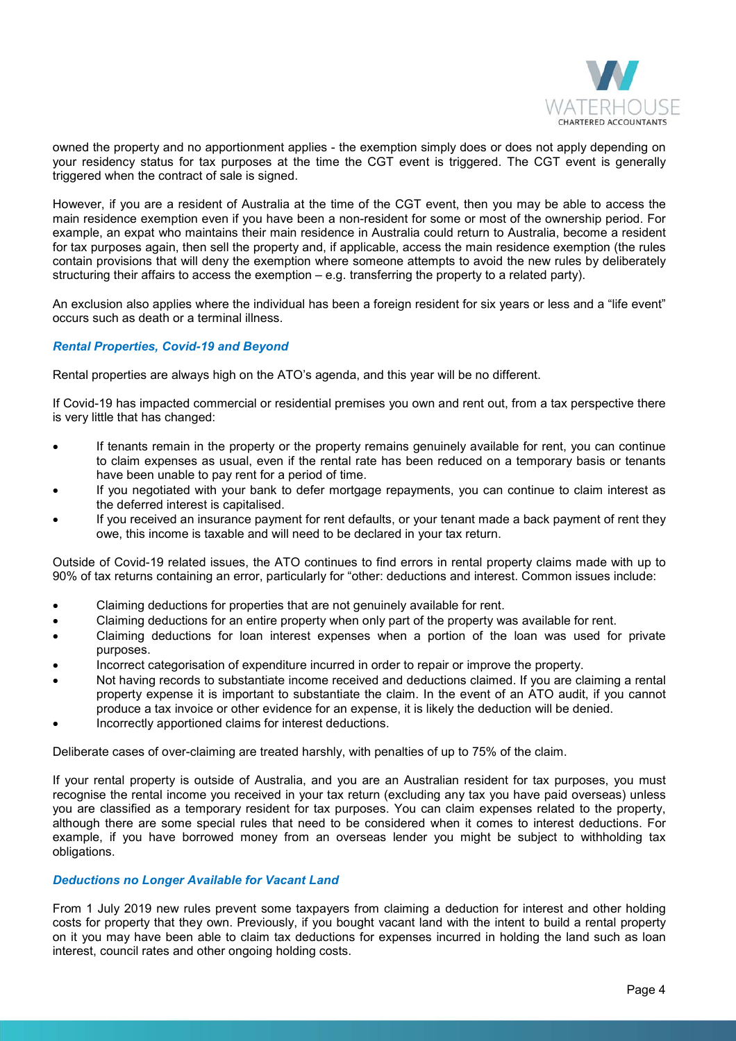

owned the property and no apportionment applies - the exemption simply does or does not apply depending on your residency status for tax purposes at the time the CGT event is triggered. The CGT event is generally triggered when the contract of sale is signed.

However, if you are a resident of Australia at the time of the CGT event, then you may be able to access the main residence exemption even if you have been a non-resident for some or most of the ownership period. For example, an expat who maintains their main residence in Australia could return to Australia, become a resident for tax purposes again, then sell the property and, if applicable, access the main residence exemption (the rules contain provisions that will deny the exemption where someone attempts to avoid the new rules by deliberately structuring their affairs to access the exemption – e.g. transferring the property to a related party).

An exclusion also applies where the individual has been a foreign resident for six years or less and a "life event" occurs such as death or a terminal illness.

## *Rental Properties, Covid-19 and Beyond*

Rental properties are always high on the ATO's agenda, and this year will be no different.

If Covid-19 has impacted commercial or residential premises you own and rent out, from a tax perspective there is very little that has changed:

- If tenants remain in the property or the property remains genuinely available for rent, you can continue to claim expenses as usual, even if the rental rate has been reduced on a temporary basis or tenants have been unable to pay rent for a period of time.
- If you negotiated with your bank to defer mortgage repayments, you can continue to claim interest as the deferred interest is capitalised.
- If you received an insurance payment for rent defaults, or your tenant made a back payment of rent they owe, this income is taxable and will need to be declared in your tax return.

Outside of Covid-19 related issues, the ATO continues to find errors in rental property claims made with up to 90% of tax returns containing an error, particularly for "other: deductions and interest. Common issues include:

- Claiming deductions for properties that are not genuinely available for rent.
- Claiming deductions for an entire property when only part of the property was available for rent.
- Claiming deductions for loan interest expenses when a portion of the loan was used for private purposes.
- Incorrect categorisation of expenditure incurred in order to repair or improve the property.
- Not having records to substantiate income received and deductions claimed. If you are claiming a rental property expense it is important to substantiate the claim. In the event of an ATO audit, if you cannot produce a tax invoice or other evidence for an expense, it is likely the deduction will be denied.
- Incorrectly apportioned claims for interest deductions.

Deliberate cases of over-claiming are treated harshly, with penalties of up to 75% of the claim.

If your rental property is outside of Australia, and you are an Australian resident for tax purposes, you must recognise the rental income you received in your tax return (excluding any tax you have paid overseas) unless you are classified as a temporary resident for tax purposes. You can claim expenses related to the property, although there are some special rules that need to be considered when it comes to interest deductions. For example, if you have borrowed money from an overseas lender you might be subject to withholding tax obligations.

#### *Deductions no Longer Available for Vacant Land*

From 1 July 2019 new rules prevent some taxpayers from claiming a deduction for interest and other holding costs for property that they own. Previously, if you bought vacant land with the intent to build a rental property on it you may have been able to claim tax deductions for expenses incurred in holding the land such as loan interest, council rates and other ongoing holding costs.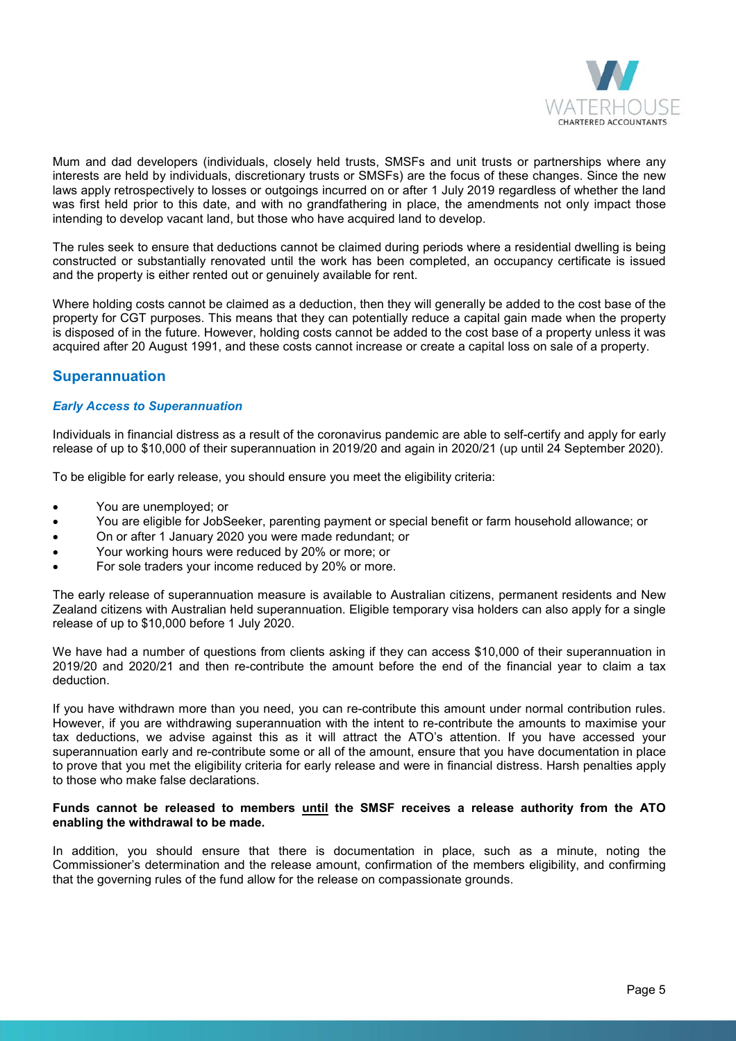

Mum and dad developers (individuals, closely held trusts, SMSFs and unit trusts or partnerships where any interests are held by individuals, discretionary trusts or SMSFs) are the focus of these changes. Since the new laws apply retrospectively to losses or outgoings incurred on or after 1 July 2019 regardless of whether the land was first held prior to this date, and with no grandfathering in place, the amendments not only impact those intending to develop vacant land, but those who have acquired land to develop.

The rules seek to ensure that deductions cannot be claimed during periods where a residential dwelling is being constructed or substantially renovated until the work has been completed, an occupancy certificate is issued and the property is either rented out or genuinely available for rent.

Where holding costs cannot be claimed as a deduction, then they will generally be added to the cost base of the property for CGT purposes. This means that they can potentially reduce a capital gain made when the property is disposed of in the future. However, holding costs cannot be added to the cost base of a property unless it was acquired after 20 August 1991, and these costs cannot increase or create a capital loss on sale of a property.

## **Superannuation**

## *Early Access to Superannuation*

Individuals in financial distress as a result of the coronavirus pandemic are able to self-certify and apply for early release of up to \$10,000 of their superannuation in 2019/20 and again in 2020/21 (up until 24 September 2020).

To be eligible for early release, you should ensure you meet the eligibility criteria:

- You are unemployed; or
- You are eligible for JobSeeker, parenting payment or special benefit or farm household allowance; or
- On or after 1 January 2020 you were made redundant; or
- Your working hours were reduced by 20% or more; or
- For sole traders your income reduced by 20% or more.

The early release of superannuation measure is available to Australian citizens, permanent residents and New Zealand citizens with Australian held superannuation. Eligible temporary visa holders can also apply for a single release of up to \$10,000 before 1 July 2020.

We have had a number of questions from clients asking if they can access \$10,000 of their superannuation in 2019/20 and 2020/21 and then re-contribute the amount before the end of the financial year to claim a tax deduction.

If you have withdrawn more than you need, you can re-contribute this amount under normal contribution rules. However, if you are withdrawing superannuation with the intent to re-contribute the amounts to maximise your tax deductions, we advise against this as it will attract the ATO's attention. If you have accessed your superannuation early and re-contribute some or all of the amount, ensure that you have documentation in place to prove that you met the eligibility criteria for early release and were in financial distress. Harsh penalties apply to those who make false declarations.

#### **Funds cannot be released to members until the SMSF receives a release authority from the ATO enabling the withdrawal to be made.**

In addition, you should ensure that there is documentation in place, such as a minute, noting the Commissioner's determination and the release amount, confirmation of the members eligibility, and confirming that the governing rules of the fund allow for the release on compassionate grounds.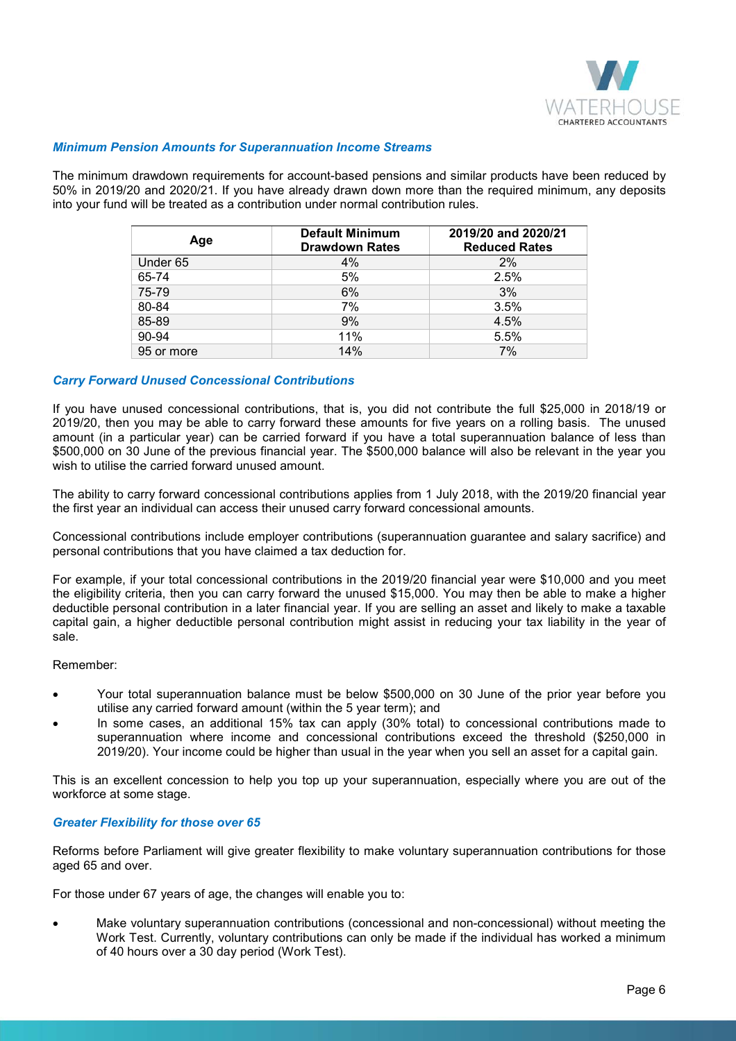

#### *Minimum Pension Amounts for Superannuation Income Streams*

The minimum drawdown requirements for account-based pensions and similar products have been reduced by 50% in 2019/20 and 2020/21. If you have already drawn down more than the required minimum, any deposits into your fund will be treated as a contribution under normal contribution rules.

| Age        | <b>Default Minimum</b><br><b>Drawdown Rates</b> | 2019/20 and 2020/21<br><b>Reduced Rates</b> |
|------------|-------------------------------------------------|---------------------------------------------|
| Under 65   | 4%                                              | 2%                                          |
| 65-74      | 5%                                              | 2.5%                                        |
| 75-79      | 6%                                              | 3%                                          |
| 80-84      | 7%                                              | 3.5%                                        |
| 85-89      | 9%                                              | 4.5%                                        |
| 90-94      | 11%                                             | 5.5%                                        |
| 95 or more | 14%                                             | 7%                                          |

## *Carry Forward Unused Concessional Contributions*

If you have unused concessional contributions, that is, you did not contribute the full \$25,000 in 2018/19 or 2019/20, then you may be able to carry forward these amounts for five years on a rolling basis. The unused amount (in a particular year) can be carried forward if you have a total superannuation balance of less than \$500,000 on 30 June of the previous financial year. The \$500,000 balance will also be relevant in the year you wish to utilise the carried forward unused amount.

The ability to carry forward concessional contributions applies from 1 July 2018, with the 2019/20 financial year the first year an individual can access their unused carry forward concessional amounts.

Concessional contributions include employer contributions (superannuation guarantee and salary sacrifice) and personal contributions that you have claimed a tax deduction for.

For example, if your total concessional contributions in the 2019/20 financial year were \$10,000 and you meet the eligibility criteria, then you can carry forward the unused \$15,000. You may then be able to make a higher deductible personal contribution in a later financial year. If you are selling an asset and likely to make a taxable capital gain, a higher deductible personal contribution might assist in reducing your tax liability in the year of sale.

#### Remember:

- Your total superannuation balance must be below \$500,000 on 30 June of the prior year before you utilise any carried forward amount (within the 5 year term); and
- In some cases, an additional 15% tax can apply (30% total) to concessional contributions made to superannuation where income and concessional contributions exceed the threshold (\$250,000 in 2019/20). Your income could be higher than usual in the year when you sell an asset for a capital gain.

This is an excellent concession to help you top up your superannuation, especially where you are out of the workforce at some stage.

#### *Greater Flexibility for those over 65*

Reforms before Parliament will give greater flexibility to make voluntary superannuation contributions for those aged 65 and over.

For those under 67 years of age, the changes will enable you to:

• Make voluntary superannuation contributions (concessional and non-concessional) without meeting the Work Test. Currently, voluntary contributions can only be made if the individual has worked a minimum of 40 hours over a 30 day period (Work Test).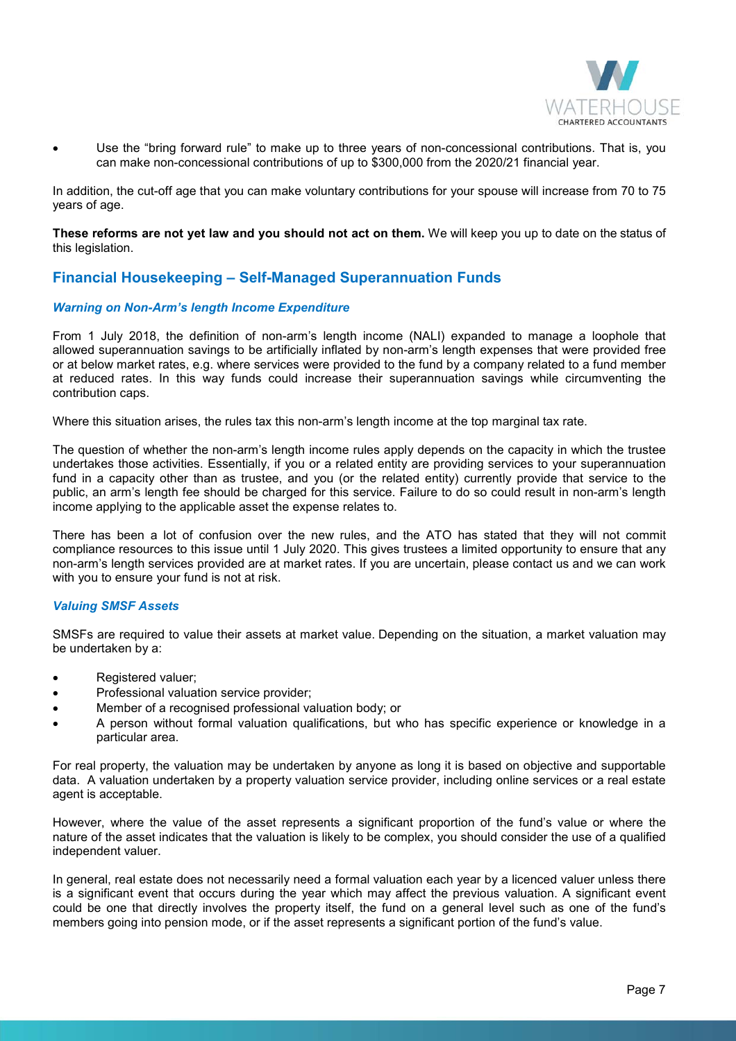

• Use the "bring forward rule" to make up to three years of non-concessional contributions. That is, you can make non-concessional contributions of up to \$300,000 from the 2020/21 financial year.

In addition, the cut-off age that you can make voluntary contributions for your spouse will increase from 70 to 75 years of age.

**These reforms are not yet law and you should not act on them.** We will keep you up to date on the status of this legislation.

# **Financial Housekeeping – Self-Managed Superannuation Funds**

## *Warning on Non-Arm's length Income Expenditure*

From 1 July 2018, the definition of non-arm's length income (NALI) expanded to manage a loophole that allowed superannuation savings to be artificially inflated by non-arm's length expenses that were provided free or at below market rates, e.g. where services were provided to the fund by a company related to a fund member at reduced rates. In this way funds could increase their superannuation savings while circumventing the contribution caps.

Where this situation arises, the rules tax this non-arm's length income at the top marginal tax rate.

The question of whether the non-arm's length income rules apply depends on the capacity in which the trustee undertakes those activities. Essentially, if you or a related entity are providing services to your superannuation fund in a capacity other than as trustee, and you (or the related entity) currently provide that service to the public, an arm's length fee should be charged for this service. Failure to do so could result in non-arm's length income applying to the applicable asset the expense relates to.

There has been a lot of confusion over the new rules, and the ATO has stated that they will not commit compliance resources to this issue until 1 July 2020. This gives trustees a limited opportunity to ensure that any non-arm's length services provided are at market rates. If you are uncertain, please contact us and we can work with you to ensure your fund is not at risk.

#### *Valuing SMSF Assets*

SMSFs are required to value their assets at market value. Depending on the situation, a market valuation may be undertaken by a:

- Registered valuer;
- Professional valuation service provider;
- Member of a recognised professional valuation body; or
- A person without formal valuation qualifications, but who has specific experience or knowledge in a particular area.

For real property, the valuation may be undertaken by anyone as long it is based on objective and supportable data. A valuation undertaken by a property valuation service provider, including online services or a real estate agent is acceptable.

However, where the value of the asset represents a significant proportion of the fund's value or where the nature of the asset indicates that the valuation is likely to be complex, you should consider the use of a qualified independent valuer.

In general, real estate does not necessarily need a formal valuation each year by a licenced valuer unless there is a significant event that occurs during the year which may affect the previous valuation. A significant event could be one that directly involves the property itself, the fund on a general level such as one of the fund's members going into pension mode, or if the asset represents a significant portion of the fund's value.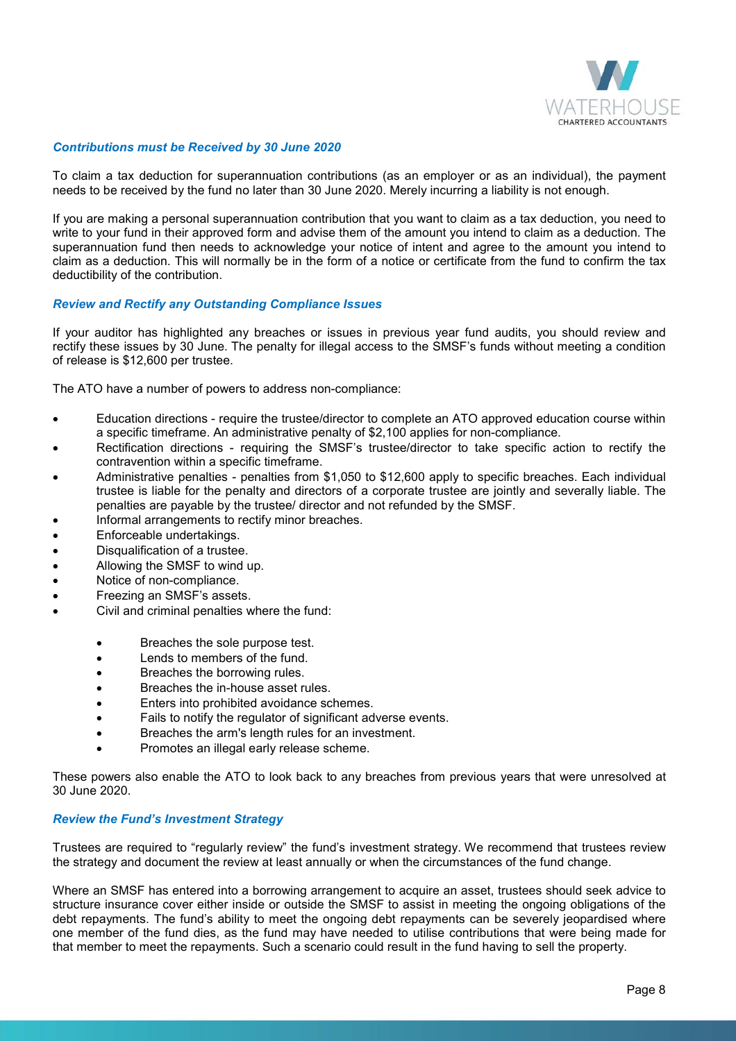

#### *Contributions must be Received by 30 June 2020*

To claim a tax deduction for superannuation contributions (as an employer or as an individual), the payment needs to be received by the fund no later than 30 June 2020. Merely incurring a liability is not enough.

If you are making a personal superannuation contribution that you want to claim as a tax deduction, you need to write to your fund in their approved form and advise them of the amount you intend to claim as a deduction. The superannuation fund then needs to acknowledge your notice of intent and agree to the amount you intend to claim as a deduction. This will normally be in the form of a notice or certificate from the fund to confirm the tax deductibility of the contribution.

## *Review and Rectify any Outstanding Compliance Issues*

If your auditor has highlighted any breaches or issues in previous year fund audits, you should review and rectify these issues by 30 June. The penalty for illegal access to the SMSF's funds without meeting a condition of release is \$12,600 per trustee.

The ATO have a number of powers to address non-compliance:

- Education directions require the trustee/director to complete an ATO approved education course within a specific timeframe. An administrative penalty of \$2,100 applies for non-compliance.
- Rectification directions requiring the SMSF's trustee/director to take specific action to rectify the contravention within a specific timeframe.
- Administrative penalties penalties from \$1,050 to \$12,600 apply to specific breaches. Each individual trustee is liable for the penalty and directors of a corporate trustee are jointly and severally liable. The penalties are payable by the trustee/ director and not refunded by the SMSF.
- Informal arrangements to rectify minor breaches.
- Enforceable undertakings.
- Disqualification of a trustee.
- Allowing the SMSF to wind up.
- Notice of non-compliance.
- Freezing an SMSF's assets.
- Civil and criminal penalties where the fund:
	- Breaches the sole purpose test.
	- Lends to members of the fund.
	- Breaches the borrowing rules.
	- Breaches the in-house asset rules.
	- Enters into prohibited avoidance schemes.
	- Fails to notify the regulator of significant adverse events.
	- Breaches the arm's length rules for an investment.
	- Promotes an illegal early release scheme.

These powers also enable the ATO to look back to any breaches from previous years that were unresolved at 30 June 2020.

#### *Review the Fund's Investment Strategy*

Trustees are required to "regularly review" the fund's investment strategy. We recommend that trustees review the strategy and document the review at least annually or when the circumstances of the fund change.

Where an SMSF has entered into a borrowing arrangement to acquire an asset, trustees should seek advice to structure insurance cover either inside or outside the SMSF to assist in meeting the ongoing obligations of the debt repayments. The fund's ability to meet the ongoing debt repayments can be severely jeopardised where one member of the fund dies, as the fund may have needed to utilise contributions that were being made for that member to meet the repayments. Such a scenario could result in the fund having to sell the property.